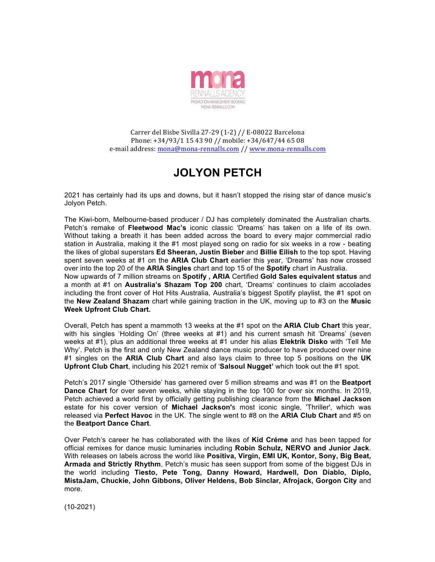

Carrer del Bisbe Sivilla 27-29 (1-2) // E-08022 Barcelona Phone: +34/93/1 15 43 90 // mobile: +34/647/44 65 08 e-mail address: mona@mona-rennalls.com // www.mona-rennalls.com

## **JOLYON PETCH**

2021 has certainly had its ups and downs, but it hasn't stopped the rising star of dance music's Jolyon Petch.

The Kiwi-born, Melbourne-based producer / DJ has completely dominated the Australian charts. Petch's remake of **Fleetwood Mac's** iconic classic 'Dreams' has taken on a life of its own. Without taking a breath it has been added across the board to every major commercial radio station in Australia, making it the #1 most played song on radio for six weeks in a row - beating the likes of global superstars **Ed Sheeran, Justin Bieber** and **Billie Eilish** to the top spot. Having spent seven weeks at #1 on the **ARIA Club Chart** earlier this year, 'Dreams' has now crossed over into the top 20 of the **ARIA Singles** chart and top 15 of the **Spotify** chart in Australia. Now upwards of 7 million streams on **Spotify , ARIA** Certified **Gold Sales equivalent status** and

a month at #1 on **Australia's Shazam Top 200** chart, 'Dreams' continues to claim accolades including the front cover of Hot Hits Australia, Australia's biggest Spotify playlist, the #1 spot on the **New Zealand Shazam** chart while gaining traction in the UK, moving up to #3 on the **Music Week Upfront Club Chart.**

Overall, Petch has spent a mammoth 13 weeks at the #1 spot on the **ARIA Club Chart** this year, with his singles 'Holding On' (three weeks at #1) and his current smash hit 'Dreams' (seven weeks at #1), plus an additional three weeks at #1 under his alias **Elektrik Disko** with 'Tell Me Why'. Petch is the first and only New Zealand dance music producer to have produced over nine #1 singles on the **ARIA Club Chart** and also lays claim to three top 5 positions on the **UK Upfront Club Chart**, including his 2021 remix of '**Salsoul Nugget'** which took out the #1 spot.

Petch's 2017 single 'Otherside' has garnered over 5 million streams and was #1 on the **Beatport Dance Chart** for over seven weeks, while staying in the top 100 for over six months. In 2019, Petch achieved a world first by officially getting publishing clearance from the **Michael Jackson** estate for his cover version of **Michael Jackson'**s most iconic single, 'Thriller', which was released via **Perfect Havoc** in the UK. The single went to #8 on the **ARIA Club Chart** and #5 on the **Beatport Dance Chart**.

Over Petch's career he has collaborated with the likes of **Kid Créme** and has been tapped for official remixes for dance music luminaries including **Robin Schulz, NERVO and Junior Jack**. With releases on labels across the world like **Positiva, Virgin, EMI UK, Kontor, Sony, Big Beat, Armada and Strictly Rhythm**, Petch's music has seen support from some of the biggest DJs in the world including **Tiesto, Pete Tong, Danny Howard, Hardwell, Don Diablo, Diplo, MistaJam, Chuckie, John Gibbons, Oliver Heldens, Bob Sinclar, Afrojack, Gorgon City** and more.

(10-2021)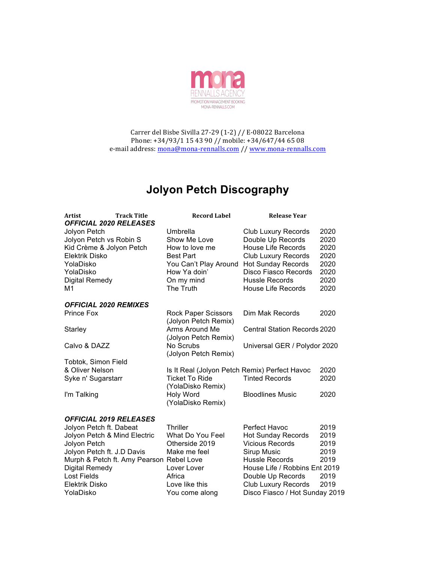

Carrer del Bisbe Sivilla 27-29 (1-2) // E-08022 Barcelona Phone: +34/93/1 15 43 90 // mobile: +34/647/44 65 08 e-mail address: mona@mona-rennalls.com // www.mona-rennalls.com

## **Jolyon Petch Discography**

| <b>Artist</b><br><b>OFFICIAL 2020 RELEASES</b> | <b>Track Title</b>                       | <b>Record Label</b>                           | <b>Release Year</b>                 |      |
|------------------------------------------------|------------------------------------------|-----------------------------------------------|-------------------------------------|------|
| Jolyon Petch                                   |                                          | Umbrella                                      | <b>Club Luxury Records</b>          | 2020 |
| Jolyon Petch vs Robin S                        |                                          | Show Me Love                                  | Double Up Records                   | 2020 |
| Kid Crème & Jolyon Petch                       |                                          | How to love me                                | <b>House Life Records</b>           | 2020 |
| Elektrik Disko                                 |                                          | <b>Best Part</b>                              | <b>Club Luxury Records</b>          | 2020 |
| YolaDisko                                      |                                          | You Can't Play Around                         | <b>Hot Sunday Records</b>           | 2020 |
| YolaDisko                                      |                                          | How Ya doin'                                  | Disco Fiasco Records                | 2020 |
| Digital Remedy                                 |                                          | On my mind                                    | <b>Hussle Records</b>               | 2020 |
| М1                                             |                                          | The Truth                                     | <b>House Life Records</b>           | 2020 |
| <b>OFFICIAL 2020 REMIXES</b>                   |                                          |                                               |                                     |      |
| Prince Fox                                     |                                          | Rock Paper Scissors<br>(Jolyon Petch Remix)   | Dim Mak Records                     | 2020 |
| Starley                                        |                                          | Arms Around Me<br>(Jolyon Petch Remix)        | <b>Central Station Records 2020</b> |      |
| Calvo & DAZZ                                   |                                          | No Scrubs<br>(Jolyon Petch Remix)             | Universal GER / Polydor 2020        |      |
| Tobtok, Simon Field                            |                                          |                                               |                                     |      |
| & Oliver Nelson                                |                                          | Is It Real (Jolyon Petch Remix) Perfect Havoc |                                     | 2020 |
| Syke n' Sugarstarr                             |                                          | <b>Ticket To Ride</b><br>(YolaDisko Remix)    | <b>Tinted Records</b>               | 2020 |
| I'm Talking                                    |                                          | Holy Word<br>(YolaDisko Remix)                | <b>Bloodlines Music</b>             | 2020 |
| <b>OFFICIAL 2019 RELEASES</b>                  |                                          |                                               |                                     |      |
| Jolyon Petch ft. Dabeat                        |                                          | Thriller                                      | Perfect Havoc                       | 2019 |
| Jolyon Petch & Mind Electric                   |                                          | What Do You Feel                              | <b>Hot Sunday Records</b>           | 2019 |
| Jolyon Petch                                   |                                          | Otherside 2019                                | <b>Vicious Records</b>              | 2019 |
| Jolyon Petch ft. J.D Davis                     |                                          | Make me feel                                  | Sirup Music                         | 2019 |
|                                                | Murph & Petch ft. Amy Pearson Rebel Love |                                               | <b>Hussle Records</b>               | 2019 |
| Digital Remedy                                 |                                          | Lover Lover                                   | House Life / Robbins Ent 2019       |      |
| <b>Lost Fields</b>                             |                                          | Africa                                        | Double Up Records                   | 2019 |
| Elektrik Disko                                 |                                          | Love like this                                | <b>Club Luxury Records</b>          | 2019 |
| YolaDisko                                      |                                          | You come along                                | Disco Fiasco / Hot Sunday 2019      |      |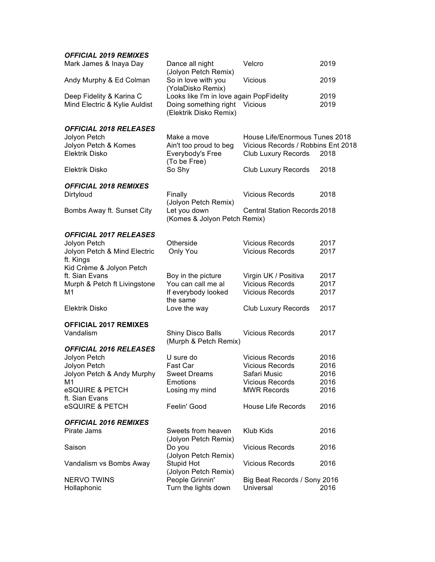## *OFFICIAL 2019 REMIXES*

| Mark James & Inaya Day            | Dance all night<br>(Jolyon Petch Remix)         | Velcro                              | 2019 |
|-----------------------------------|-------------------------------------------------|-------------------------------------|------|
| Andy Murphy & Ed Colman           | So in love with you<br>(YolaDisko Remix)        | <b>Vicious</b>                      | 2019 |
| Deep Fidelity & Karina C          | Looks like I'm in love again PopFidelity        |                                     | 2019 |
| Mind Electric & Kylie Auldist     | Doing something right<br>(Elektrik Disko Remix) | <b>Vicious</b>                      | 2019 |
| <b>OFFICIAL 2018 RELEASES</b>     |                                                 |                                     |      |
| Jolyon Petch                      | Make a move                                     | House Life/Enormous Tunes 2018      |      |
| Jolyon Petch & Komes              | Ain't too proud to beg                          | Vicious Records / Robbins Ent 2018  |      |
| <b>Elektrik Disko</b>             | Everybody's Free                                | Club Luxury Records                 | 2018 |
|                                   | (To be Free)                                    |                                     |      |
| Elektrik Disko                    | So Shy                                          | Club Luxury Records                 | 2018 |
| <b>OFFICIAL 2018 REMIXES</b>      |                                                 |                                     |      |
| Dirtyloud                         | Finally                                         | <b>Vicious Records</b>              | 2018 |
|                                   | (Jolyon Petch Remix)                            |                                     |      |
| Bombs Away ft. Sunset City        | Let you down                                    | <b>Central Station Records 2018</b> |      |
|                                   | (Komes & Jolyon Petch Remix)                    |                                     |      |
| <b>OFFICIAL 2017 RELEASES</b>     |                                                 |                                     |      |
| Jolyon Petch                      | Otherside                                       | <b>Vicious Records</b>              | 2017 |
| Jolyon Petch & Mind Electric      | Only You                                        | <b>Vicious Records</b>              | 2017 |
| ft. Kings                         |                                                 |                                     |      |
| Kid Crème & Jolyon Petch          |                                                 |                                     |      |
| ft. Sian Evans                    | Boy in the picture                              | Virgin UK / Positiva                | 2017 |
| Murph & Petch ft Livingstone      | You can call me al                              | <b>Vicious Records</b>              | 2017 |
| M1                                | If everybody looked                             | <b>Vicious Records</b>              | 2017 |
|                                   | the same                                        |                                     |      |
| Elektrik Disko                    | Love the way                                    | <b>Club Luxury Records</b>          | 2017 |
| <b>OFFICIAL 2017 REMIXES</b>      |                                                 |                                     |      |
| Vandalism                         | Shiny Disco Balls                               | <b>Vicious Records</b>              | 2017 |
|                                   | (Murph & Petch Remix)                           |                                     |      |
| <b>OFFICIAL 2016 RELEASES</b>     |                                                 |                                     |      |
| Jolyon Petch                      | U sure do                                       | <b>Vicious Records</b>              | 2016 |
| Jolyon Petch                      | Fast Car                                        | <b>Vicious Records</b>              | 2016 |
| Jolyon Petch & Andy Murphy        | <b>Sweet Dreams</b>                             | Safari Music                        | 2016 |
| M1                                | Emotions                                        | <b>Vicious Records</b>              | 2016 |
| eSQUIRE & PETCH                   | Losing my mind                                  | <b>MWR Records</b>                  | 2016 |
| ft. Sian Evans<br>eSQUIRE & PETCH | Feelin' Good                                    | <b>House Life Records</b>           | 2016 |
|                                   |                                                 |                                     |      |
| <b>OFFICIAL 2016 REMIXES</b>      |                                                 |                                     |      |
| Pirate Jams                       | Sweets from heaven                              | Klub Kids                           | 2016 |
|                                   | (Jolyon Petch Remix)                            |                                     |      |
| Saison                            | Do you                                          | <b>Vicious Records</b>              | 2016 |
|                                   | (Jolyon Petch Remix)                            |                                     |      |
| Vandalism vs Bombs Away           | Stupid Hot                                      | <b>Vicious Records</b>              | 2016 |
|                                   | (Jolyon Petch Remix)                            |                                     |      |
| <b>NERVO TWINS</b>                | People Grinnin'                                 | Big Beat Records / Sony 2016        |      |
| Hollaphonic                       | Turn the lights down                            | Universal                           | 2016 |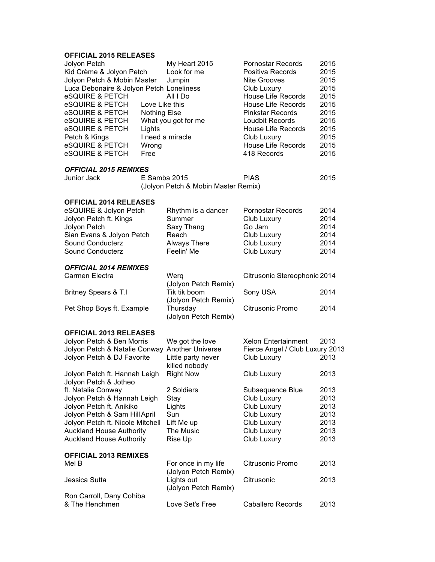## **OFFICIAL 2015 RELEASES**

| Jolyon Petch<br>Kid Crème & Jolyon Petch<br>Jolyon Petch & Mobin Master<br>Luca Debonaire & Jolyon Petch Loneliness<br>eSQUIRE & PETCH<br>eSQUIRE & PETCH<br>eSQUIRE & PETCH<br>eSQUIRE & PETCH<br><b>eSQUIRE &amp; PETCH</b><br>Petch & Kings<br><b>eSQUIRE &amp; PETCH</b><br>eSQUIRE & PETCH | Love Like this<br><b>Nothing Else</b><br>Lights<br>Wrong<br>Free | My Heart 2015<br>Look for me<br>Jumpin<br>All I Do<br>What you got for me<br>I need a miracle | <b>Pornostar Records</b><br>Positiva Records<br>Nite Grooves<br>Club Luxury<br><b>House Life Records</b><br><b>House Life Records</b><br><b>Pinkstar Records</b><br>Loudbit Records<br><b>House Life Records</b><br>Club Luxury<br><b>House Life Records</b><br>418 Records | 2015<br>2015<br>2015<br>2015<br>2015<br>2015<br>2015<br>2015<br>2015<br>2015<br>2015<br>2015 |
|-------------------------------------------------------------------------------------------------------------------------------------------------------------------------------------------------------------------------------------------------------------------------------------------------|------------------------------------------------------------------|-----------------------------------------------------------------------------------------------|-----------------------------------------------------------------------------------------------------------------------------------------------------------------------------------------------------------------------------------------------------------------------------|----------------------------------------------------------------------------------------------|
| <b>OFFICIAL 2015 REMIXES</b><br>Junior Jack                                                                                                                                                                                                                                                     | E Samba 2015                                                     | (Jolyon Petch & Mobin Master Remix)                                                           | <b>PIAS</b>                                                                                                                                                                                                                                                                 | 2015                                                                                         |
| <b>OFFICIAL 2014 RELEASES</b><br>eSQUIRE & Jolyon Petch<br>Jolyon Petch ft. Kings<br>Jolyon Petch<br>Sian Evans & Jolyon Petch<br>Sound Conducterz<br>Sound Conducterz                                                                                                                          |                                                                  | Rhythm is a dancer<br>Summer<br>Saxy Thang<br>Reach<br>Always There<br>Feelin' Me             | <b>Pornostar Records</b><br>Club Luxury<br>Go Jam<br>Club Luxury<br>Club Luxury<br>Club Luxury                                                                                                                                                                              | 2014<br>2014<br>2014<br>2014<br>2014<br>2014                                                 |
| <b>OFFICIAL 2014 REMIXES</b><br>Carmen Electra<br><b>Britney Spears &amp; T.I</b><br>Pet Shop Boys ft. Example                                                                                                                                                                                  |                                                                  | Werg<br>(Jolyon Petch Remix)<br>Tik tik boom<br>(Jolyon Petch Remix)<br>Thursday              | Citrusonic Stereophonic 2014<br>Sony USA<br>Citrusonic Promo                                                                                                                                                                                                                | 2014<br>2014                                                                                 |
| <b>OFFICIAL 2013 RELEASES</b><br>Jolyon Petch & Ben Morris<br>Jolyon Petch & Natalie Conway Another Universe<br>Jolyon Petch & DJ Favorite                                                                                                                                                      |                                                                  | (Jolyon Petch Remix)<br>We got the love<br>Little party never<br>killed nobody                | <b>Xelon Entertainment</b><br>Fierce Angel / Club Luxury 2013<br>Club Luxury                                                                                                                                                                                                | 2013<br>2013                                                                                 |
| Jolyon Petch ft. Hannah Leigh<br>Jolyon Petch & Jotheo<br>ft. Natalie Conway<br>Jolyon Petch & Hannah Leigh<br>Jolyon Petch ft. Anikiko<br>Jolyon Petch & Sam Hill April<br>Jolyon Petch ft. Nicole Mitchell<br><b>Auckland House Authority</b><br><b>Auckland House Authority</b>              |                                                                  | <b>Right Now</b><br>2 Soldiers<br>Stay<br>Lights<br>Sun<br>Lift Me up<br>The Music<br>Rise Up | Club Luxury<br>Subsequence Blue<br>Club Luxury<br>Club Luxury<br>Club Luxury<br>Club Luxury<br>Club Luxury<br>Club Luxury                                                                                                                                                   | 2013<br>2013<br>2013<br>2013<br>2013<br>2013<br>2013<br>2013                                 |
| <b>OFFICIAL 2013 REMIXES</b><br>Mel B<br>Jessica Sutta                                                                                                                                                                                                                                          |                                                                  | For once in my life<br>(Jolyon Petch Remix)<br>Lights out<br>(Jolyon Petch Remix)             | Citrusonic Promo<br>Citrusonic                                                                                                                                                                                                                                              | 2013<br>2013                                                                                 |
| Ron Carroll, Dany Cohiba<br>& The Henchmen                                                                                                                                                                                                                                                      |                                                                  | Love Set's Free                                                                               | <b>Caballero Records</b>                                                                                                                                                                                                                                                    | 2013                                                                                         |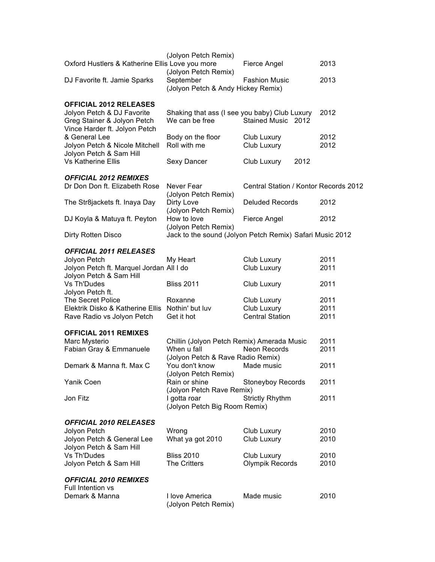| Oxford Hustlers & Katherine Ellis Love you more                                            | (Jolyon Petch Remix)                                                    | Fierce Angel                                             | 2013         |
|--------------------------------------------------------------------------------------------|-------------------------------------------------------------------------|----------------------------------------------------------|--------------|
| DJ Favorite ft. Jamie Sparks                                                               | (Jolyon Petch Remix)<br>September<br>(Jolyon Petch & Andy Hickey Remix) | <b>Fashion Music</b>                                     | 2013         |
| <b>OFFICIAL 2012 RELEASES</b>                                                              |                                                                         |                                                          |              |
| Jolyon Petch & DJ Favorite<br>Greg Stainer & Jolyon Petch<br>Vince Harder ft. Jolyon Petch | Shaking that ass (I see you baby) Club Luxury<br>We can be free         | Stained Music 2012                                       | 2012         |
| & General Lee<br>Jolyon Petch & Nicole Mitchell<br>Jolyon Petch & Sam Hill                 | Body on the floor<br>Roll with me                                       | Club Luxury<br>Club Luxury                               | 2012<br>2012 |
| <b>Vs Katherine Ellis</b>                                                                  | Sexy Dancer                                                             | Club Luxury<br>2012                                      |              |
|                                                                                            |                                                                         |                                                          |              |
| <b>OFFICIAL 2012 REMIXES</b><br>Dr Don Don ft. Elizabeth Rose                              | Never Fear<br>(Jolyon Petch Remix)                                      | Central Station / Kontor Records 2012                    |              |
| The Str8jackets ft. Inaya Day                                                              | Dirty Love<br>(Jolyon Petch Remix)                                      | <b>Deluded Records</b>                                   | 2012         |
| DJ Koyla & Matuya ft. Peyton                                                               | How to love                                                             | Fierce Angel                                             | 2012         |
| Dirty Rotten Disco                                                                         | (Jolyon Petch Remix)                                                    | Jack to the sound (Jolyon Petch Remix) Safari Music 2012 |              |
| <b>OFFICIAL 2011 RELEASES</b>                                                              |                                                                         |                                                          |              |
| Jolyon Petch                                                                               | My Heart                                                                | Club Luxury                                              | 2011         |
| Jolyon Petch ft. Marquel Jordan All I do<br>Jolyon Petch & Sam Hill                        |                                                                         | Club Luxury                                              | 2011         |
| Vs Th'Dudes<br>Jolyon Petch ft.                                                            | <b>Bliss 2011</b>                                                       | Club Luxury                                              | 2011         |
| The Secret Police                                                                          | Roxanne                                                                 | Club Luxury                                              | 2011         |
| Elektrik Disko & Katherine Ellis Nothin' but luv                                           |                                                                         | Club Luxury                                              | 2011         |
| Rave Radio vs Jolyon Petch                                                                 | Get it hot                                                              | <b>Central Station</b>                                   | 2011         |
| <b>OFFICIAL 2011 REMIXES</b>                                                               |                                                                         |                                                          |              |
| Marc Mysterio                                                                              | Chillin (Jolyon Petch Remix) Amerada Music                              |                                                          | 2011         |
| Fabian Gray & Emmanuele                                                                    | When u fall                                                             | Neon Records                                             | 2011         |
| Demark & Manna ft. Max C                                                                   | (Jolyon Petch & Rave Radio Remix)                                       | Made music                                               |              |
|                                                                                            | You don't know<br>(Jolyon Petch Remix)                                  |                                                          | 2011         |
| Yanik Coen                                                                                 | Rain or shine<br>(Jolyon Petch Rave Remix)                              | <b>Stoneyboy Records</b>                                 | 2011         |
| Jon Fitz                                                                                   | I gotta roar<br>(Jolyon Petch Big Room Remix)                           | <b>Strictly Rhythm</b>                                   | 2011         |
|                                                                                            |                                                                         |                                                          |              |
| <b>OFFICIAL 2010 RELEASES</b>                                                              |                                                                         |                                                          | 2010         |
| Jolyon Petch<br>Jolyon Petch & General Lee                                                 | Wrong<br>What ya got 2010                                               | Club Luxury<br>Club Luxury                               | 2010         |
| Jolyon Petch & Sam Hill                                                                    |                                                                         |                                                          |              |
| <b>Vs Th'Dudes</b>                                                                         | <b>Bliss 2010</b>                                                       | Club Luxury                                              | 2010         |
| Jolyon Petch & Sam Hill                                                                    | <b>The Critters</b>                                                     | <b>Olympik Records</b>                                   | 2010         |
| <b>OFFICIAL 2010 REMIXES</b>                                                               |                                                                         |                                                          |              |
| Full Intention vs                                                                          |                                                                         |                                                          |              |
| Demark & Manna                                                                             | I love America<br>(Jolyon Petch Remix)                                  | Made music                                               | 2010         |
|                                                                                            |                                                                         |                                                          |              |